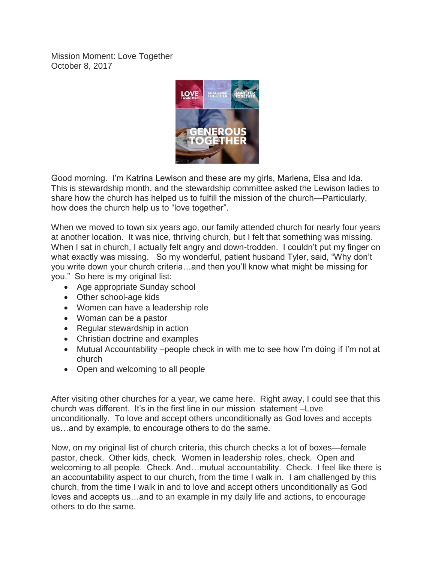Mission Moment: Love Together October 8, 2017



Good morning. I'm Katrina Lewison and these are my girls, Marlena, Elsa and Ida. This is stewardship month, and the stewardship committee asked the Lewison ladies to share how the church has helped us to fulfill the mission of the church—Particularly, how does the church help us to "love together".

When we moved to town six years ago, our family attended church for nearly four years at another location. It was nice, thriving church, but I felt that something was missing. When I sat in church. I actually felt angry and down-trodden. I couldn't put my finger on what exactly was missing. So my wonderful, patient husband Tyler, said, "Why don't you write down your church criteria…and then you'll know what might be missing for you." So here is my original list:

- Age appropriate Sunday school
- Other school-age kids
- Women can have a leadership role
- Woman can be a pastor
- Regular stewardship in action
- Christian doctrine and examples
- Mutual Accountability –people check in with me to see how I'm doing if I'm not at church
- Open and welcoming to all people

After visiting other churches for a year, we came here. Right away, I could see that this church was different. It's in the first line in our mission statement –Love unconditionally. To love and accept others unconditionally as God loves and accepts us…and by example, to encourage others to do the same.

Now, on my original list of church criteria, this church checks a lot of boxes—female pastor, check. Other kids, check. Women in leadership roles, check. Open and welcoming to all people. Check. And…mutual accountability. Check. I feel like there is an accountability aspect to our church, from the time I walk in. I am challenged by this church, from the time I walk in and to love and accept others unconditionally as God loves and accepts us…and to an example in my daily life and actions, to encourage others to do the same.